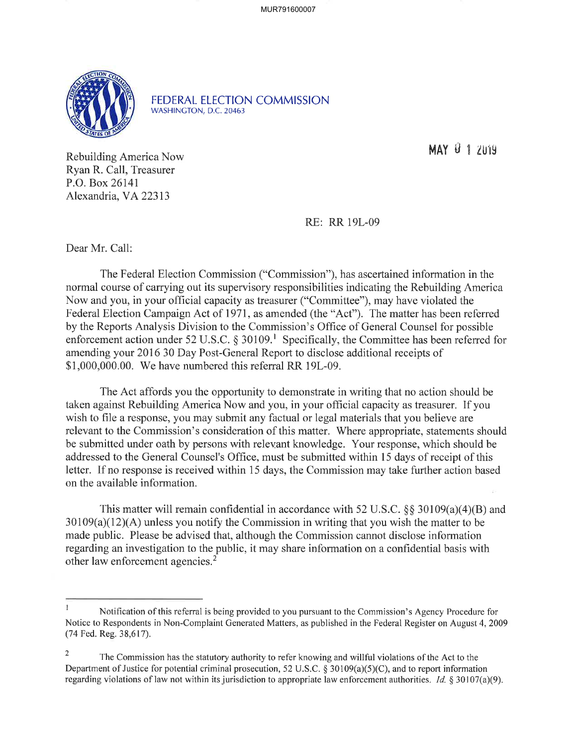MUR791600007



FEDERAL ELECTION COMMISSION WASHINGTON, D.C.20463

MAY  $9$  1  $2$ m9

Rebuilding America Now Ryan R. Call, Treasurer P.O. Box 26141 Alexandria, VA 22313

RE: RR l9L-09

Dear Mr. Call:

The Federal Election Commission ("Commission"), has ascefiained information in the normal course of carrying out its supervisory responsibilities indicating the Rebuilding America Now and you, in your official capacity as treasurer ("Committee"), may have violated the Federal Election Campaign Act of 1971, as amended (the "Act"). The matter has been referred by the Reports Analysis Division to the Commission's Office of General Counsel for possible enforcement action under 52 U.S.C.  $\S 30109$ .<sup>1</sup> Specifically, the Committee has been referred for amending your 2016 30 Day Post-General Report to disclose additional receipts of \$1,000,000.00. We have numbered this referral RR 19L-09.

The Act affords you the opportunity to demonstrate in writing that no action should be taken against Rebuilding America Now and you, in your official capacity as treasurer. If you wish to file a response, you may submit any factual or legal materials that you believe are relevant to the Commission's consideration of this matter. Where appropriate, statements should be submitted under oath by persons with relevant knowledge. Your response, which should be addressed to the General Counsel's Office, must be submitted within 15 days of receipt of this letter. If no response is received within 15 days, the Commission may take further action based on the available information.

This matter will remain confidential in accordance with 52 U.S.C.  $\S$ § 30109(a)(4)(B) and  $30109(a)(12)(A)$  unless you notify the Commission in writing that you wish the matter to be made public. Please be advised that, although the Commission cannot disclose information regarding an investigation to the public, it may share information on a confidential basis with other law enforcement agencies.<sup>2</sup>

I Notification of this referral is being provided to you pursuant to the Commission's Agency Procedure for Notice to Respondents in Non-Complaint Generated Matters, as published in the Federal Register on August 4,2009 (74 Fed. Reg.38,617).

<sup>2</sup> The Commission has the statutory authority to refer knowing and willful violations of the Act to the Department of Justice for potential criminal prosecution, 52 U.S.C.  $\S 30109(a)(5)(C)$ , and to report information regarding violations of law not within its jurisdiction to appropriate law enforcement authorities. Id. § 30107(a)(9).